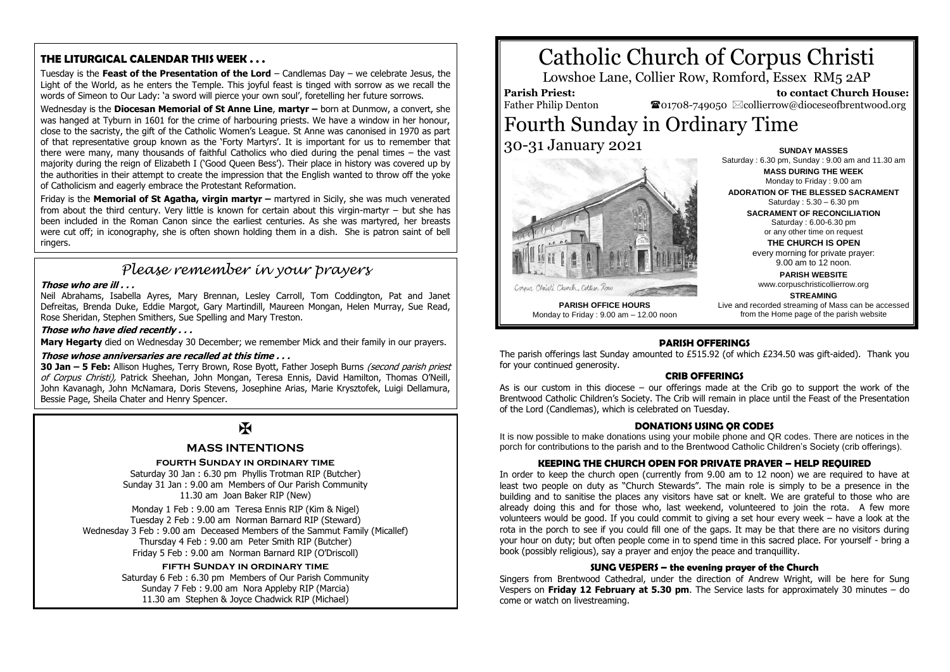# **THE LITURGICAL CALENDAR THIS WEEK . . .**

Tuesday is the **Feast of the Presentation of the Lord** – Candlemas Day – we celebrate Jesus, the Light of the World, as he enters the Temple. This joyful feast is tinged with sorrow as we recall the words of Simeon to Our Lady: 'a sword will pierce your own soul', foretelling her future sorrows.

Wednesday is the **Diocesan Memorial of St Anne Line**, **martyr –** born at Dunmow, a convert, she was hanged at Tyburn in 1601 for the crime of harbouring priests. We have a window in her honour, close to the sacristy, the gift of the Catholic Women's League. St Anne was canonised in 1970 as part of that representative group known as the 'Forty Martyrs'. It is important for us to remember that there were many, many thousands of faithful Catholics who died during the penal times – the vast majority during the reign of Elizabeth I ('Good Queen Bess'). Their place in history was covered up by the authorities in their attempt to create the impression that the English wanted to throw off the yoke of Catholicism and eagerly embrace the Protestant Reformation.

Friday is the **Memorial of St Agatha, virgin martyr –** martyred in Sicily, she was much venerated from about the third century. Very little is known for certain about this virgin-martyr – but she has been included in the Roman Canon since the earliest centuries. As she was martyred, her breasts were cut off; in iconography, she is often shown holding them in a dish. She is patron saint of bell ringers.

# *Please remember in your prayers*

## **Those who are ill . . .**

Neil Abrahams, Isabella Ayres, Mary Brennan, Lesley Carroll, Tom Coddington, Pat and Janet Defreitas, Brenda Duke, Eddie Margot, Gary Martindill, Maureen Mongan, Helen Murray, Sue Read, Rose Sheridan, Stephen Smithers, Sue Spelling and Mary Treston.

#### **Those who have died recently . . .**

**Mary Hegarty** died on Wednesday 30 December; we remember Mick and their family in our prayers.

#### **Those whose anniversaries are recalled at this time . . .**

**30 Jan – 5 Feb:** Allison Hughes, Terry Brown, Rose Byott, Father Joseph Burns (second parish priest of Corpus Christi), Patrick Sheehan, John Mongan, Teresa Ennis, David Hamilton, Thomas O'Neill, John Kavanagh, John McNamara, Doris Stevens, Josephine Arias, Marie Krysztofek, Luigi Dellamura, Bessie Page, Sheila Chater and Henry Spencer.

# $\overline{\mathbf{R}}$

# **MASS INTENTIONS**

#### **fourth Sunday in ordinary time**

Saturday 30 Jan : 6.30 pm Phyllis Trotman RIP (Butcher) Sunday 31 Jan : 9.00 am Members of Our Parish Community 11.30 am Joan Baker RIP (New)

Monday 1 Feb : 9.00 am Teresa Ennis RIP (Kim & Nigel) Tuesday 2 Feb : 9.00 am Norman Barnard RIP (Steward) Wednesday 3 Feb : 9.00 am Deceased Members of the Sammut Family (Micallef) Thursday 4 Feb : 9.00 am Peter Smith RIP (Butcher) Friday 5 Feb : 9.00 am Norman Barnard RIP (O'Driscoll)

## **fifth Sunday in ordinary time**

Saturday 6 Feb : 6.30 pm Members of Our Parish Community Sunday 7 Feb : 9.00 am Nora Appleby RIP (Marcia) 11.30 am Stephen & Joyce Chadwick RIP (Michael)

# Catholic Church of Corpus Christi

Lowshoe Lane, Collier Row, Romford, Essex RM5 2AP

#### **Parish Priest:** Father Philip Denton

 **to contact Church House:**  $\bullet$ 01708-749050  $\boxtimes$ collierrow@dioceseofbrentwood.org

# Fourth Sunday in Ordinary Time 30-31 January 2021



**SUNDAY MASSES** Saturday : 6.30 pm, Sunday : 9.00 am and 11.30 am **MASS DURING THE WEEK** Monday to Friday : 9.00 am

**ADORATION OF THE BLESSED SACRAMENT** Saturday : 5.30 – 6.30 pm

**SACRAMENT OF RECONCILIATION** Saturday : 6.00-6.30 pm or any other time on request

**THE CHURCH IS OPEN**

every morning for private prayer: 9.00 am to 12 noon.

**PARISH WEBSITE** www.corpuschristicollierrow.org

#### **STREAMING**

**PARISH OFFICE HOURS** Monday to Friday : 9.00 am – 12.00 noon Live and recorded streaming of Mass can be accessed from the Home page of the parish website

# **PARISH OFFERINGS**

The parish offerings last Sunday amounted to £515.92 (of which £234.50 was gift-aided). Thank you for your continued generosity.

## **CRIB OFFERINGS**

As is our custom in this diocese – our offerings made at the Crib go to support the work of the Brentwood Catholic Children's Society. The Crib will remain in place until the Feast of the Presentation of the Lord (Candlemas), which is celebrated on Tuesday.

#### **DONATIONS USING QR CODES**

It is now possible to make donations using your mobile phone and QR codes. There are notices in the porch for contributions to the parish and to the Brentwood Catholic Children's Society (crib offerings).

## **KEEPING THE CHURCH OPEN FOR PRIVATE PRAYER – HELP REQUIRED**

In order to keep the church open (currently from 9.00 am to 12 noon) we are required to have at least two people on duty as "Church Stewards". The main role is simply to be a presence in the building and to sanitise the places any visitors have sat or knelt. We are grateful to those who are already doing this and for those who, last weekend, volunteered to join the rota. A few more volunteers would be good. If you could commit to giving a set hour every week – have a look at the rota in the porch to see if you could fill one of the gaps. It may be that there are no visitors during your hour on duty; but often people come in to spend time in this sacred place. For yourself - bring a book (possibly religious), say a prayer and enjoy the peace and tranquillity.

#### **SUNG VESPERS – the evening prayer of the Church**

Singers from Brentwood Cathedral, under the direction of Andrew Wright, will be here for Sung Vespers on **Friday 12 February at 5.30 pm**. The Service lasts for approximately 30 minutes – do come or watch on livestreaming.